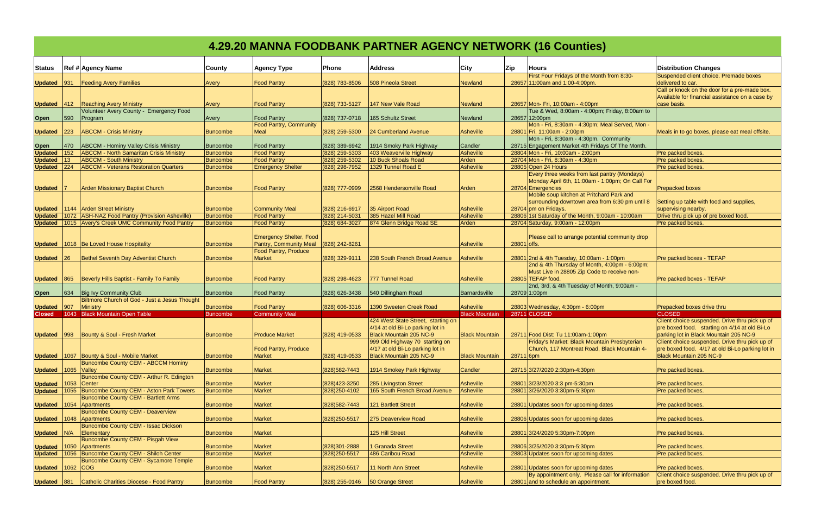|                        | 4.29.20 MANNA FOODBANK PARTNER AGENCY NETWORK (16 Counties) |                                                                 |                      |                                                                                         |                    |                                                                                               |                                    |             |                                                                                                                      |                                                                                                                                           |
|------------------------|-------------------------------------------------------------|-----------------------------------------------------------------|----------------------|-----------------------------------------------------------------------------------------|--------------------|-----------------------------------------------------------------------------------------------|------------------------------------|-------------|----------------------------------------------------------------------------------------------------------------------|-------------------------------------------------------------------------------------------------------------------------------------------|
| <b>Status</b>          |                                                             | <b>Ref # Agency Name</b>                                        | County               | <b>Agency Type</b>                                                                      | <b>Phone</b>       | <b>Address</b>                                                                                | City                               | Zip         | <b>Hours</b>                                                                                                         | <b>Distribution Changes</b>                                                                                                               |
| <b>Updated</b>         | 931                                                         | <b>Feeding Avery Families</b>                                   | Avery                | <b>Food Pantry</b>                                                                      | (828) 783-8506     | 508 Pineola Street                                                                            | Newland                            |             | First Four Fridays of the Month from 8:30-<br>28657 11:00am and 1:00-4:00pm.                                         | Suspended client choice. Premade boxes<br>delivered to car.                                                                               |
|                        |                                                             | <b>Updated</b> 412 <b>Reaching Avery Ministry</b>               | Avery                | <b>Food Pantry</b>                                                                      | (828) 733-5127     | 147 New Vale Road                                                                             | Newland                            |             | 28657 Mon- Fri, 10:00am - 4:00pm                                                                                     | Call or knock on the door for a pre-made box.<br>Available for financial assistance on a case by<br>case basis.                           |
|                        |                                                             | Volunteer Avery County - Emergency Food                         |                      |                                                                                         |                    |                                                                                               |                                    |             | Tue & Wed, 8:00am - 4:00pm; Friday, 8:00am to                                                                        |                                                                                                                                           |
| Open                   | 590                                                         | Program                                                         | Avery                | <b>Food Pantry</b>                                                                      | (828) 737-0718     | 165 Schultz Street                                                                            | Newland                            |             | 28657 12:00pm                                                                                                        |                                                                                                                                           |
| <b>Updated</b>         | 223                                                         | <b>ABCCM - Crisis Ministry</b>                                  | <b>Buncombe</b>      | <b>Food Pantry, Community</b><br>Meal                                                   | (828) 259-5300     | 24 Cumberland Avenue                                                                          | <b>Asheville</b>                   |             | Mon - Fri, 8:30am - 4:30pm; Meal Served, Mon -<br>28801 Fri, 11:00am - 2:00pm                                        | Meals in to go boxes, please eat meal offsite.                                                                                            |
|                        | 470                                                         | <b>ABCCM - Hominy Valley Crisis Ministry</b>                    | Buncombe             | <b>Food Pantry</b>                                                                      | (828) 389-6942     | 1914 Smoky Park Highway                                                                       | Candler                            |             | Mon - Fri, 8:30am - 4:30pm. Community<br>28715 Engagement Market 4th Fridays Of The Month.                           |                                                                                                                                           |
| Open<br><b>Updated</b> | 152                                                         | <b>ABCCM - North Samaritan Crisis Ministry</b>                  | <b>Buncombe</b>      | <b>Food Pantry</b>                                                                      | (828) 259-5303     | 403 Weaverville Highway                                                                       | <b>Asheville</b>                   |             | 28804 Mon - Fri, 10:00am - 2:00pm                                                                                    | Pre packed boxes                                                                                                                          |
| <b>Updated</b>         |                                                             | <b>ABCCM - South Ministry</b>                                   | <b>Buncombe</b>      | <b>Food Pantry</b>                                                                      | (828) 259-5302     | 10 Buck Shoals Road                                                                           | Arden                              |             | 28704 Mon - Fri, 8:30am - 4:30pm                                                                                     | Pre packed boxes.                                                                                                                         |
| <b>Updated</b>         | 224                                                         | <b>ABCCM - Veterans Restoration Quarters</b>                    | <b>Buncombe</b>      | <b>Emergency Shelter</b>                                                                | (828) 298-7952     | 1329 Tunnel Road E                                                                            | <b>Asheville</b>                   |             | 28805 Open 24 Hours                                                                                                  | Pre packed boxes                                                                                                                          |
| <b>Updated</b>         |                                                             | <b>Arden Missionary Baptist Church</b>                          | Buncombe             | <b>Food Pantry</b>                                                                      | (828) 777-0999     | 2568 Hendersonville Road                                                                      | Arden                              |             | Every three weeks from last pantry (Mondays)<br>Monday April 6th, 11:00am - 1:00pm; On Call For<br>28704 Emergencies | <b>Prepacked boxes</b>                                                                                                                    |
|                        |                                                             | <b>Updated</b> 1144 Arden Street Ministry                       | Buncombe             | <b>Community Meal</b>                                                                   | (828) 216-6917     | 35 Airport Road                                                                               | <b>Asheville</b>                   |             | Mobile soup kitchen at Pritchard Park and<br>surrounding downtown area from 6:30 pm until 8<br>28704 pm on Fridays.  | Setting up table with food and supplies,<br>supervising nearby.                                                                           |
| <b>Updated</b>         |                                                             | 1072 ASH-NAZ Food Pantry (Provision Asheville)                  | Buncombe             | <b>Food Pantry</b>                                                                      | (828) 214-5031     | 385 Hazel Mill Road                                                                           | <b>Asheville</b>                   |             | 28806 1st Saturday of the Month, 9:00am - 10:00am                                                                    | Drive thru pick up of pre boxed food.                                                                                                     |
|                        |                                                             | <b>Updated</b>   1015   Avery's Creek UMC Community Food Pantry | Buncombe             | <b>Food Pantry</b>                                                                      | (828) 684-3027     | 874 Glenn Bridge Road SE                                                                      | Arden                              |             | 28704 Saturday, 9:00am - 12:00pm                                                                                     | Pre packed boxes                                                                                                                          |
| <b>Updated</b>         |                                                             | 1018 Be Loved House Hospitality                                 | Buncombe             | <b>Emergency Shelter, Food</b><br><b>Pantry, Community Meal</b><br>Food Pantry, Produce | (828) 242-8261     |                                                                                               | <b>Asheville</b>                   | 28801 offs. | Please call to arrange potential community drop                                                                      |                                                                                                                                           |
| <b>Updated</b>         | 26                                                          | Bethel Seventh Day Adventist Church                             | Buncombe             | Market                                                                                  | $(828)$ 329-9111   | 238 South French Broad Avenue                                                                 | <b>Asheville</b>                   |             | 28801 2nd & 4th Tuesday, 10:00am - 1:00pm                                                                            | Pre packed boxes - TEFAP                                                                                                                  |
| Updated 865            |                                                             | Beverly Hills Baptist - Family To Family                        | Buncombe             | <b>Food Pantry</b>                                                                      | (828) 298-4623     | 777 Tunnel Road                                                                               | <b>Asheville</b>                   |             | 2nd & 4th Thursday of Month, 4:00pm - 6:00pm;<br>Must Live in 28805 Zip Code to receive non-<br>28805 TEFAP food.    | Pre packed boxes - TEFAP                                                                                                                  |
| <b>Open</b>            | 634                                                         | <b>Big Ivy Community Club</b>                                   | Buncombe             | <b>Food Pantry</b>                                                                      | (828) 626-3438     | 540 Dillingham Road                                                                           | Barnardsville                      |             | 2nd, 3rd, & 4th Tuesday of Month, 9:00am -<br>28709 1:00pm                                                           |                                                                                                                                           |
|                        |                                                             | Biltmore Church of God - Just a Jesus Thought                   |                      |                                                                                         |                    |                                                                                               |                                    |             |                                                                                                                      |                                                                                                                                           |
| Updated 907<br>Closed  |                                                             | Ministry<br>1043 Black Mountain Open Table                      | Buncombe<br>Buncombe | <b>Food Pantry</b><br><b>Community Meal</b>                                             | $(828) 606 - 3316$ | 1390 Sweeten Creek Road                                                                       | Asheville<br><b>Black Mountain</b> |             | 28803 Wednesday, 4:30pm - 6:00pm<br>28711 CLOSED                                                                     | Prepacked boxes drive thru<br><b>CLOSED</b>                                                                                               |
|                        |                                                             |                                                                 |                      |                                                                                         |                    | 424 West State Street, starting on                                                            |                                    |             |                                                                                                                      | Client choice suspended. Drive thru pick up of                                                                                            |
|                        |                                                             | Updated 998   Bounty & Soul - Fresh Market                      | Buncombe             | <b>Produce Market</b>                                                                   | (828) 419-0533     | 4/14 at old Bi-Lo parking lot in<br>Black Mountain 205 NC-9<br>999 Old Highway 70 starting on | <b>Black Mountain</b>              |             | 28711 Food Dist: Tu 11:00am-1:00pm<br>Friday's Market: Black Mountain Presbyterian                                   | pre boxed food. starting on 4/14 at old Bi-Lo<br>parking lot in Black Mountain 205 NC-9<br>Client choice suspended. Drive thru pick up of |
| <b>Updated</b>         |                                                             | 1067 Bounty & Soul - Mobile Market                              | Buncombe             | <b>Food Pantry, Produce</b><br><b>Market</b>                                            | (828) 419-0533     | 4/17 at old Bi-Lo parking lot in<br><b>Black Mountain 205 NC-9</b>                            | <b>Black Mountain</b>              | 28711 6pm   | Church, 117 Montreat Road, Black Mountain 4-                                                                         | pre boxed food. 4/17 at old Bi-Lo parking lot in<br>Black Mountain 205 NC-9                                                               |
| <b>Updated</b>         |                                                             | <b>Buncombe County CEM - ABCCM Hominy</b><br>1065 Valley        | Buncombe             | <b>Market</b>                                                                           | (828) 582-7443     | 1914 Smokey Park Highway                                                                      | Candler                            |             | 28715 3/27/2020 2:30pm-4:30pm                                                                                        | Pre packed boxes.                                                                                                                         |
| <b>Updated</b>         | 1053                                                        | Buncombe County CEM - Arthur R. Edington<br><b>Center</b>       | Buncombe             | <b>Market</b>                                                                           | (828) 423-3250     | 285 Livingston Street                                                                         | <b>Asheville</b>                   |             | 28801 3/23/2020 3:3 pm-5:30pm                                                                                        | Pre packed boxes.                                                                                                                         |
| Updated 1055           |                                                             | <b>Buncombe County CEM - Aston Park Towers</b>                  | Buncombe             | <b>Market</b>                                                                           | (828) 250-4102     | 165 South French Broad Avenue                                                                 | <b>Asheville</b>                   |             | 28801 3/26/2020 3:30pm-5:30pm                                                                                        | Pre packed boxes.                                                                                                                         |
| Updated 1054           |                                                             | <b>Buncombe County CEM - Bartlett Arms</b><br>Apartments        | <b>Buncombe</b>      | <b>Market</b>                                                                           | (828) 582-7443     | 121 Bartlett Street                                                                           | <b>Asheville</b>                   |             | 28801 Updates soon for upcoming dates                                                                                | Pre packed boxes.                                                                                                                         |
|                        |                                                             | <b>Buncombe County CEM - Deaverview</b>                         |                      |                                                                                         |                    |                                                                                               |                                    |             |                                                                                                                      |                                                                                                                                           |
| Updated 1048           |                                                             | Apartments<br><b>Buncombe County CEM - Issac Dickson</b>        | Buncombe             | <b>Market</b>                                                                           | (828) 250-5517     | 275 Deaverview Road                                                                           | <b>Asheville</b>                   |             | 28806 Updates soon for upcoming dates                                                                                | Pre packed boxes.                                                                                                                         |
| <b>Updated N/A</b>     |                                                             | <b>Elementary</b><br>Buncombe County CEM - Pisgah View          | <b>Buncombe</b>      | <b>Market</b>                                                                           |                    | 125 Hill Street                                                                               | <b>Asheville</b>                   |             | 28801 3/24/2020 5:30pm-7:00pm                                                                                        | Pre packed boxes.                                                                                                                         |
| Updated 1050           |                                                             | Apartments                                                      | <b>Buncombe</b>      | <b>Market</b>                                                                           | (828) 301-2888     | Granada Street                                                                                | <b>Asheville</b>                   |             | 28806 3/25/2020 3:30pm-5:30pm                                                                                        | Pre packed boxes.                                                                                                                         |
|                        |                                                             | Updated   1056   Buncombe County CEM - Shiloh Center            | Buncombe             | <b>Market</b>                                                                           | (828) 250-5517     | 486 Caribou Road                                                                              | <b>Asheville</b>                   |             | 28803 Updates soon for upcoming dates                                                                                | Pre packed boxes.                                                                                                                         |
| <b>Updated</b>         | 1062 COG                                                    | <b>Buncombe County CEM - Sycamore Temple</b>                    | Buncombe             | <b>Market</b>                                                                           | (828) 250-5517     | 11 North Ann Street                                                                           | Asheville                          |             | 28801 Updates soon for upcoming dates                                                                                | Pre packed boxes.                                                                                                                         |
| Updated 881            |                                                             | Catholic Charities Diocese - Food Pantry                        | Buncombe             | <b>Food Pantry</b>                                                                      |                    |                                                                                               | Asheville                          |             | By appointment only. Please call for information<br>28801 and to schedule an appointment.                            | Client choice suspended. Drive thru pick up of<br>pre boxed food.                                                                         |

| <b>Contract Contract Contract Contract Contract Contract Contract Contract Contract Contract Contract Contract C</b> |  |
|----------------------------------------------------------------------------------------------------------------------|--|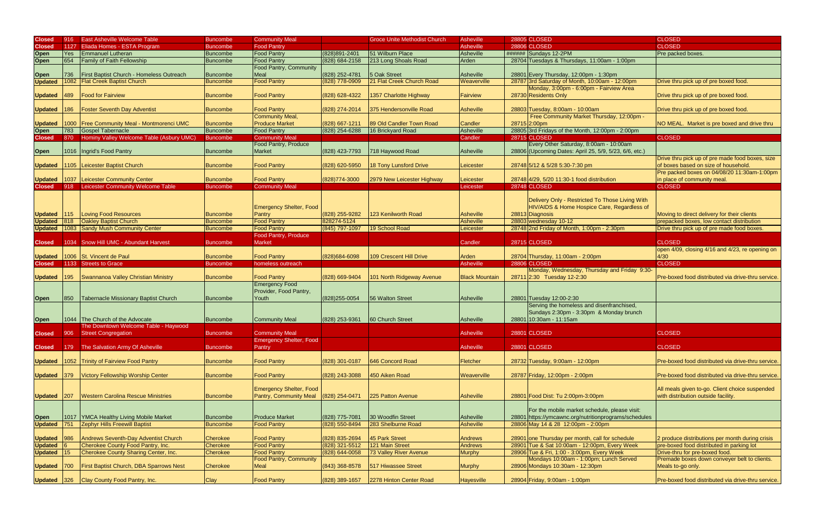| <b>Closed</b>  | $ 916\rangle$ | <b>East Asheville Welcome Table</b>                 | Buncombe        | <b>Community Meal</b>          |                    | <b>Groce Unite Methodist Church</b> | Asheville             | <b>28805 CLOSED</b>                                    | <b>CLOSED</b>                                      |
|----------------|---------------|-----------------------------------------------------|-----------------|--------------------------------|--------------------|-------------------------------------|-----------------------|--------------------------------------------------------|----------------------------------------------------|
| <b>Closed</b>  | 1127          | Eliada Homes - ESTA Program                         | Buncombe        | <b>Food Pantry</b>             |                    |                                     | Asheville             | <b>28806 CLOSED</b>                                    | <b>CLOSED</b>                                      |
| <b>Open</b>    | <b>Yes</b>    | <b>Emmanuel Lutheran</b>                            | <b>Buncombe</b> | <b>Food Pantry</b>             | (828) 891-2401     | 51 Wilburn Place                    | <b>Asheville</b>      | ###### Sundays 12-2PM                                  | Pre packed boxes.                                  |
|                | 654           | <b>Family of Faith Fellowship</b>                   |                 | <b>Food Pantry</b>             |                    | 213 Long Shoals Road                | Arden                 | 28704 Tuesdays & Thursdays, 11:00am - 1:00pm           |                                                    |
| Open           |               |                                                     | <b>Buncombe</b> |                                | (828) 684-2158     |                                     |                       |                                                        |                                                    |
|                |               |                                                     |                 | <b>Food Pantry, Community</b>  |                    |                                     |                       |                                                        |                                                    |
| <b>Open</b>    | 736           | First Baptist Church - Homeless Outreach            | <b>Buncombe</b> | Meal                           | (828) 252-4781     | 5 Oak Street                        | Asheville             | 28801 Every Thursday, 12:00pm - 1:30pm                 |                                                    |
| <b>Updated</b> | 1082          | <b>Flat Creek Baptist Church</b>                    | <b>Buncombe</b> | <b>Food Pantry</b>             | (828) 778-0909     | 21 Flat Creek Church Road           | Weaverville           | 28787 3rd Saturday of Month, 10:00am - 12:00pm         | Drive thru pick up of pre boxed food.              |
|                |               |                                                     |                 |                                |                    |                                     |                       | Monday, 3:00pm - 6:00pm - Fairview Area                |                                                    |
| <b>Updated</b> | 489           | <b>Food for Fairview</b>                            | <b>Buncombe</b> | <b>Food Pantry</b>             | (828) 628-4322     | 1357 Charlotte Highway              | <b>Fairview</b>       | 28730 Residents Only                                   | Drive thru pick up of pre boxed food.              |
|                |               |                                                     |                 |                                |                    |                                     |                       |                                                        |                                                    |
| <b>Updated</b> | 186           | <b>Foster Seventh Day Adventist</b>                 | Buncombe        | <b>Food Pantry</b>             | (828) 274-2014     | 375 Hendersonville Road             | <b>Asheville</b>      | 28803 Tuesday, 8:00am - 10:00am                        | Drive thru pick up of pre boxed food.              |
|                |               |                                                     |                 | Community Meal,                |                    |                                     |                       | Free Community Market Thursday, 12:00pm -              |                                                    |
| <b>Updated</b> |               | 1000 Free Community Meal - Montmorenci UMC          | <b>Buncombe</b> | <b>Produce Market</b>          | (828) 667-1211     | 89 Old Candler Town Road            | Candler               | 28715 2:00pm                                           | NO MEAL. Market is pre boxed and drive thru        |
|                | 783           | Gospel Tabernacle                                   | Buncombe        | <b>Food Pantry</b>             | $(828)$ 254-6288   | 16 Brickyard Road                   | Asheville             | 28805 3rd Fridays of the Month, 12:00pm - 2:00pm       |                                                    |
| Open           |               |                                                     |                 |                                |                    |                                     |                       |                                                        |                                                    |
| <b>Closed</b>  |               | 870 Hominy Valley Welcome Table (Asbury UMC)        | <b>Buncombe</b> | <b>Community Meal</b>          |                    |                                     | Candler               | <b>28715 CLOSED</b>                                    | <b>CLOSED</b>                                      |
|                |               |                                                     |                 | <b>Food Pantry, Produce</b>    |                    |                                     |                       | Every Other Saturday, 8:00am - 10:00am                 |                                                    |
| <b>Open</b>    |               | 1016   Ingrid's Food Pantry                         | Buncombe        | <b>Market</b>                  | (828) 423-7793     | 718 Haywood Road                    | <b>Asheville</b>      | 28806 (Upcoming Dates: April 25, 5/9, 5/23, 6/6, etc.) |                                                    |
|                |               |                                                     |                 |                                |                    |                                     |                       |                                                        | Drive thru pick up of pre made food boxes, size    |
|                |               | Updated 1105 Leicester Baptist Church               | Buncombe        | <b>Food Pantry</b>             | (828) 620-5950     | 18 Tony Lunsford Drive              | Leicester             | 28748 5/12 & 5/28 5:30-7:30 pm                         | of boxes based on size of household.               |
|                |               |                                                     |                 |                                |                    |                                     |                       |                                                        | Pre packed boxes on 04/08/20 11:30am-1:00pm        |
| <b>Updated</b> |               | 1037 Leicester Community Center                     | <b>Buncombe</b> | <b>Food Pantry</b>             | (828) 774-3000     | 2979 New Leicester Highway          | Leicester             | 28748 4/29, 5/20 11:30-1 food distribution             | in place of community meal.                        |
| <b>Closed</b>  |               | 918 Leicester Community Welcome Table               | Buncombe        | <b>Community Meal</b>          |                    |                                     | Leicester             | <b>28748 CLOSED</b>                                    | <b>CLOSED</b>                                      |
|                |               |                                                     |                 |                                |                    |                                     |                       |                                                        |                                                    |
|                |               |                                                     |                 |                                |                    |                                     |                       | Delivery Only - Restricted To Those Living With        |                                                    |
|                |               |                                                     |                 |                                |                    |                                     |                       |                                                        |                                                    |
|                |               |                                                     |                 | <b>Emergency Shelter, Food</b> |                    |                                     |                       | HIV/AIDS & Home Hospice Care, Regardless of            |                                                    |
| Updated 115    |               | Loving Food Resources                               | <b>Buncombe</b> | Pantry                         | (828) 255-9282     | 123 Kenilworth Road                 | <b>Asheville</b>      | 28813 Diagnosis                                        | Moving to direct delivery for their clients        |
| <b>Updated</b> | 818           | <b>Oakley Baptist Church</b>                        | <b>Buncombe</b> | <b>Food Pantry</b>             | 828274-5124        |                                     | <b>Asheville</b>      | 28803 wednesday 10-12                                  | prepacked boxes, low contact distribution          |
|                |               | <b>Updated</b>   1083   Sandy Mush Community Center | <b>Buncombe</b> | <b>Food Pantry</b>             | (845) 797-1097     | 19 School Road                      | Leicester             | 28748 2nd Friday of Month, 1:00pm - 2:30pm             | Drive thru pick up of pre made food boxes          |
|                |               |                                                     |                 | Food Pantry, Produce           |                    |                                     |                       |                                                        |                                                    |
| <b>Closed</b>  |               | 1034 Snow Hill UMC - Abundant Harvest               | Buncombe        | Market                         |                    |                                     | Candler               | 28715 CLOSED                                           | <b>CLOSED</b>                                      |
|                |               |                                                     |                 |                                |                    |                                     |                       |                                                        | open 4/09, closing 4/16 and 4/23, re opening on    |
|                |               | Updated 1006 St. Vincent de Paul                    | Buncombe        | <b>Food Pantry</b>             | (828) 684-6098     | 109 Crescent Hill Drive             | Arden                 | 28704 Thursday, 11:00am - 2:00pm                       | 4/30                                               |
|                |               | 1133 Streets to Grace                               | <b>Buncombe</b> | homeless outreach              |                    |                                     | Asheville             | <b>28806 CLOSED</b>                                    | <b>CLOSED</b>                                      |
|                |               |                                                     |                 |                                |                    |                                     |                       |                                                        |                                                    |
| <b>Closed</b>  |               |                                                     |                 |                                |                    |                                     |                       |                                                        |                                                    |
|                |               |                                                     |                 |                                |                    |                                     |                       | Monday, Wednesday, Thursday and Friday 9:30-           |                                                    |
| <b>Updated</b> | 195           | Swannanoa Valley Christian Ministry                 | Buncombe        | <b>Food Pantry</b>             | (828) 669-9404     | 101 North Ridgeway Avenue           | <b>Black Mountain</b> | 28711 2:30 Tuesday 12-2:30                             | Pre-boxed food distributed via drive-thru service. |
|                |               |                                                     |                 | <b>Emergency Food</b>          |                    |                                     |                       |                                                        |                                                    |
|                |               |                                                     |                 | Provider, Food Pantry,         |                    |                                     |                       |                                                        |                                                    |
| <b>Open</b>    | 850           | Tabernacle Missionary Baptist Church                | Buncombe        | Youth                          | (828) 255-0054     | 56 Walton Street                    | Asheville             | 28801 Tuesday 12:00-2:30                               |                                                    |
|                |               |                                                     |                 |                                |                    |                                     |                       | Serving the homeless and disenfranchised,              |                                                    |
|                |               |                                                     |                 |                                |                    |                                     |                       | Sundays 2:30pm - 3:30pm & Monday brunch                |                                                    |
| <b>Open</b>    | 1044          | The Church of the Advocate                          | Buncombe        | Community Meal                 | (828) 253-9361     | <b>60 Church Street</b>             | Asheville             | 28801 10:30am - 11:15am                                |                                                    |
|                |               | The Downtown Welcome Table - Haywood                |                 |                                |                    |                                     |                       |                                                        |                                                    |
|                |               |                                                     |                 |                                |                    |                                     |                       |                                                        |                                                    |
|                |               | <b>Closed</b> 906 Street Congregation               | Buncombe        | <b>Community Meal</b>          |                    |                                     | Asheville             | 28801 CLOSED                                           | <b>CLOSED</b>                                      |
|                |               |                                                     |                 | <b>Emergency Shelter, Food</b> |                    |                                     |                       |                                                        |                                                    |
| <b>Closed</b>  |               | 179 The Salvation Army Of Asheville                 | <b>Buncombe</b> | Pantry                         |                    |                                     | <b>Asheville</b>      | <b>28801 CLOSED</b>                                    | <b>CLOSED</b>                                      |
|                |               |                                                     |                 |                                |                    |                                     |                       |                                                        |                                                    |
|                |               | Updated 1052 Trinity of Fairview Food Pantry        | <b>Buncombe</b> | <b>Food Pantry</b>             | (828) 301-0187     | 646 Concord Road                    | Fletcher              | 28732 Tuesday, 9:00am - 12:00pm                        | Pre-boxed food distributed via drive-thru service. |
|                |               |                                                     |                 |                                |                    |                                     |                       |                                                        |                                                    |
| Updated 379    |               | <b>Victory Fellowship Worship Center</b>            | <b>Buncombe</b> | <b>Food Pantry</b>             | (828) 243-3088     | 450 Aiken Road                      | Weaverville           | 28787 Friday, 12:00pm - 2:00pm                         | Pre-boxed food distributed via drive-thru service. |
|                |               |                                                     |                 |                                |                    |                                     |                       |                                                        |                                                    |
|                |               |                                                     |                 | Emergency Shelter, Food        |                    |                                     |                       |                                                        | All meals given to-go. Client choice suspended     |
| Updated 207    |               | <b>Western Carolina Rescue Ministries</b>           | <b>Buncombe</b> | <b>Pantry, Community Meal</b>  | $(828)$ 254-0471   | 225 Patton Avenue                   | Asheville             | 28801 Food Dist: Tu 2:00pm-3:00pm                      | with distribution outside facility.                |
|                |               |                                                     |                 |                                |                    |                                     |                       |                                                        |                                                    |
|                |               |                                                     |                 |                                |                    |                                     |                       | For the mobile market schedule, please visit:          |                                                    |
|                | 1017          | YMCA Healthy Living Mobile Market                   | <b>Buncombe</b> | <b>Produce Market</b>          | (828) 775-7081     | 30 Woodfin Street                   | Asheville             | 28801 https://ymcawnc.org/nutritionprograms/schedules  |                                                    |
| <b>Open</b>    | 751           | <b>Zephyr Hills Freewill Baptist</b>                | <b>Buncombe</b> | <b>Food Pantry</b>             | (828) 550-8494     | 283 Shelburne Road                  | <b>Asheville</b>      | 28806 May 14 & 28 12:00pm - 2:00pm                     |                                                    |
| <b>Updated</b> |               |                                                     |                 |                                |                    |                                     |                       |                                                        |                                                    |
|                |               |                                                     |                 |                                |                    |                                     |                       |                                                        |                                                    |
| <b>Updated</b> | <b>1986</b>   | Andrews Seventh-Day Adventist Church                | <b>Cherokee</b> | <b>Food Pantry</b>             | (828) 835-2694     | 45 Park Street                      | <b>Andrews</b>        | 28901 one Thursday per month, call for schedule        | 2 produce distributions per month during crisis    |
| <b>Updated</b> |               | Cherokee County Food Pantry, Inc.                   | <b>Cherokee</b> | <b>Food Pantry</b>             | $(828)$ 321-5512   | 121 Main Street                     | <b>Andrews</b>        | 28901 Tue & Sat 10:00am - 12:00pm, Every Week          | pre-boxed food distributed in parking lot          |
| Updated 15     |               | Cherokee County Sharing Center, Inc.                | Cherokee        | <b>Food Pantry</b>             | $(828) 644 - 0058$ | 73 Valley River Avenue              | <b>Murphy</b>         | 28906 Tue & Fri, 1:00 - 3:00pm, Every Week             | Drive-thru for pre-boxed food.                     |
|                |               |                                                     |                 | <b>Food Pantry, Community</b>  |                    |                                     |                       | Mondays 10:00am - 1:00pm; Lunch Served                 | Premade boxes down conveyer belt to clients.       |
| Updated 700    |               | First Baptist Church, DBA Sparrows Nest             | Cherokee        | <b>Meal</b>                    | $(843)$ 368-8578   | 517 Hiwassee Street                 | <b>Murphy</b>         | 28906 Mondays 10:30am - 12:30pm                        | Meals to-go only.                                  |
| Updated 326    |               | Clay County Food Pantry, Inc.                       | <b>Clay</b>     | <b>Food Pantry</b>             | (828) 389-1657     | 2278 Hinton Center Road             | <b>Hayesville</b>     | 28904 Friday, 9:00am - 1:00pm                          | Pre-boxed food distributed via drive-thru service. |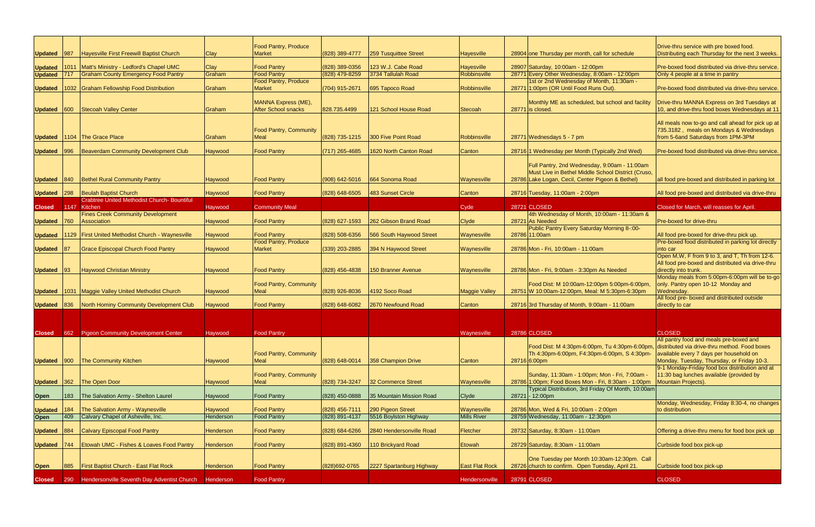| Updated 987    |      | Hayesville First Freewill Baptist Church                            | Clay      | <b>Food Pantry, Produce</b><br><b>Market</b>      | (828) 389-4777     | 259 Tusquittee Street              | <b>Hayesville</b>     | 28904 one Thursday per month, call for schedule                                                              | Drive-thru service with pre boxed food.<br>Distributing each Thursday for the next 3 weeks.                                                                                       |
|----------------|------|---------------------------------------------------------------------|-----------|---------------------------------------------------|--------------------|------------------------------------|-----------------------|--------------------------------------------------------------------------------------------------------------|-----------------------------------------------------------------------------------------------------------------------------------------------------------------------------------|
| <b>Updated</b> | 1011 | Matt's Ministry - Ledford's Chapel UMC                              | Clay      | <b>Food Pantry</b>                                | (828) 389-0356     | 123 W.J. Cabe Road                 | <b>Hayesville</b>     | 28907 Saturday, 10:00am - 12:00pm                                                                            | Pre-boxed food distributed via drive-thru service.                                                                                                                                |
| <b>Updated</b> |      | <b>Graham County Emergency Food Pantry</b>                          | Graham    | <b>Food Pantry</b>                                | (828) 479-8259     | 3734 Tallulah Road                 | Robbinsville          | 28771 Every Other Wednesday, 8:00am - 12:00pm                                                                | Only 4 people at a time in pantry                                                                                                                                                 |
|                |      |                                                                     |           | Food Pantry, Produce                              |                    |                                    |                       | 1st or 2nd Wednesday of Month, 11:30am -                                                                     |                                                                                                                                                                                   |
| <b>Updated</b> |      | 1032 Graham Fellowship Food Distribution                            | Graham    | <b>Market</b>                                     | (704) 915-2671     | 695 Tapoco Road                    | Robbinsville          | 28771 1:00pm (OR Until Food Runs Out).                                                                       | Pre-boxed food distributed via drive-thru service.                                                                                                                                |
| Updated 600    |      | Stecoah Valley Center                                               | Graham    | MANNA Express (ME),<br><b>After School snacks</b> | 828.735.4499       | 121 School House Road              | <b>Stecoah</b>        | Monthly ME as scheduled, but school and facility<br>28771 is closed.                                         | Drive-thru MANNA Express on 3rd Tuesdays at<br>10, and drive-thru food boxes Wednesdays at 11                                                                                     |
|                |      | Updated 1104 The Grace Place                                        | Graham    | <b>Food Pantry, Community</b><br>Meal             |                    | (828) 735-1215 300 Five Point Road | Robbinsville          | 28771 Wednesdays 5 - 7 pm                                                                                    | All meals now to-go and call ahead for pick up at<br>735.3182, meals on Mondays & Wednesdays<br>from 5-6and Saturdays from 1PM-3PM                                                |
|                |      |                                                                     |           |                                                   |                    |                                    |                       |                                                                                                              |                                                                                                                                                                                   |
| Updated 996    |      | <b>Beaverdam Community Development Club</b>                         | Haywood   | <b>Food Pantry</b>                                | $(717)$ 265-4685   | 1620 North Canton Road             | Canton                | 28716 1 Wednesday per Month (Typically 2nd Wed)                                                              | Pre-boxed food distributed via drive-thru service.                                                                                                                                |
|                |      |                                                                     |           |                                                   |                    |                                    |                       | Full Pantry, 2nd Wednesday, 9:00am - 11:00am<br>Must Live in Bethel Middle School District (Cruso,           |                                                                                                                                                                                   |
| Updated 840    |      | Bethel Rural Community Pantry                                       | Haywood   | <b>Food Pantry</b>                                | $(908) 642 - 5016$ | 664 Sonoma Road                    | Waynesville           | 28786 Lake Logan, Cecil, Center Pigeon & Bethel)                                                             | all food pre-boxed and distributed in parking lot                                                                                                                                 |
| Updated 298    |      | <b>Beulah Baptist Church</b>                                        | Haywood   | <b>Food Pantry</b>                                | (828) 648-6505     | 483 Sunset Circle                  | Canton                | 28716 Tuesday, 11:00am - 2:00pm                                                                              | All food pre-boxed and distributed via drive-thru                                                                                                                                 |
|                |      | <b>Crabtree United Methodist Church- Bountiful</b>                  |           |                                                   |                    |                                    |                       |                                                                                                              |                                                                                                                                                                                   |
| <b>Closed</b>  |      | 1147 Kitchen                                                        | Haywood   | <b>Community Meal</b>                             |                    |                                    | Cyde                  | <b>28721 CLOSED</b>                                                                                          | Closed for March, will reasses for April.                                                                                                                                         |
| Updated 760    |      | <b>Fines Creek Community Development</b><br>Association             | Haywood   | <b>Food Pantry</b>                                | (828) 627-1593     | 262 Gibson Brand Road              | <b>Clyde</b>          | 4th Wednesday of Month, 10:00am - 11:30am &<br>28721 As Needed                                               | Pre-boxed for drive-thru                                                                                                                                                          |
|                |      |                                                                     |           |                                                   |                    |                                    |                       | Public Pantry Every Saturday Morning 8-:00-                                                                  |                                                                                                                                                                                   |
|                |      | <b>Updated</b>   1129   First United Methodist Church - Waynesville | Haywood   | <b>Food Pantry</b>                                | (828) 508-6356     | 566 South Haywood Street           | Waynesville           | 28786 11:00am                                                                                                | All food pre-boxed for drive-thru pick up.                                                                                                                                        |
|                |      |                                                                     |           | <b>Food Pantry, Produce</b>                       |                    |                                    |                       |                                                                                                              | Pre-boxed food distributed in parking lot directly                                                                                                                                |
| <b>Updated</b> |      | <b>Grace Episcopal Church Food Pantry</b>                           | Haywood   | <b>Market</b>                                     | $(339)$ 203-2885   | 394 N Haywood Street               | Waynesville           | 28786 Mon - Fri, 10:00am - 11:00am                                                                           | into car                                                                                                                                                                          |
| Updated 93     |      | <b>Haywood Christian Ministry</b>                                   | Haywood   | <b>Food Pantry</b>                                | $(828)$ 456-4838   | 150 Branner Avenue                 | Waynesville           | 28786 Mon - Fri, 9:00am - 3:30pm As Needed                                                                   | Open M, W, F from 9 to 3, and T, Th from 12-6.<br>All food pre-boxed and distributed via drive-thru<br>directly into trunk.                                                       |
|                |      |                                                                     |           |                                                   |                    |                                    |                       |                                                                                                              | Monday meals from 5:00pm-6:00pm will be to-go                                                                                                                                     |
|                |      | <b>Updated</b>   1031   Maggie Valley United Methodist Church       | Haywood   | <b>Food Pantry, Community</b><br><b>Meal</b>      | (828) 926-8036     | 4192 Soco Road                     | <b>Maggie Valley</b>  | Food Dist: M 10:00am-12:00pm 5:00pm-6:00pm,<br>28751 W 10:00am-12:00pm, Meal: M 5:30pm-6:30pm                | only. Pantry open 10-12 Monday and<br>Wednesday.                                                                                                                                  |
|                |      |                                                                     |           |                                                   |                    |                                    |                       |                                                                                                              | All food pre- boxed and distributed outside                                                                                                                                       |
| Updated 836    |      | North Hominy Community Development Club                             | Haywood   | <b>Food Pantry</b>                                | $(828) 648 - 6082$ | 2670 Newfound Road                 | Canton                | 28716 3rd Thursday of Month, 9:00am - 11:00am                                                                | directly to car                                                                                                                                                                   |
|                |      |                                                                     |           |                                                   |                    |                                    |                       |                                                                                                              |                                                                                                                                                                                   |
|                |      |                                                                     |           |                                                   |                    |                                    |                       |                                                                                                              |                                                                                                                                                                                   |
|                |      |                                                                     |           |                                                   |                    |                                    |                       |                                                                                                              |                                                                                                                                                                                   |
|                |      | <b>Closed</b> 662 Pigeon Community Development Center               | Haywood   | <b>Food Pantry</b>                                |                    |                                    | Waynesville           | 28786 CLOSED                                                                                                 | <b>CLOSED</b>                                                                                                                                                                     |
| Updated 900    |      | <b>The Community Kitchen</b>                                        | Haywood   | <b>Food Pantry, Community</b><br>Meal             | (828) 648-0014     | 358 Champion Drive                 | Canton                | Food Dist: M 4:30pm-6:00pm, Tu 4:30pm-6:00pm,<br>Th 4:30pm-6:00pm, F4:30pm-6:00pm, S 4:30pm-<br>28716 6:00pm | All pantry food and meals pre-boxed and<br>distributed via drive-thru method. Food boxes<br>available every 7 days per household on<br>Monday, Tuesday, Thursday, or Friday 10-3. |
|                |      |                                                                     |           |                                                   |                    |                                    |                       |                                                                                                              | 9-1 Monday-Friday food box distribution and at                                                                                                                                    |
|                |      |                                                                     |           | <b>Food Pantry, Community</b>                     |                    |                                    |                       | Sunday, 11:30am - 1:00pm; Mon - Fri, 7:00am -                                                                | 11:30 bag lunches available (provided by                                                                                                                                          |
| Updated 362    |      | The Open Door                                                       | Haywood   | Meal                                              | (828) 734-3247     | 32 Commerce Street                 | Waynesville           | 28786 1:00pm; Food Boxes Mon - Fri, 8:30am - 1:00pm<br>Typical Distribution, 3rd Friday Of Month, 10:00am    | Mountain Projects).                                                                                                                                                               |
| <b>Open</b>    | 183  | The Salvation Army - Shelton Laurel                                 | Haywood   | <b>Food Pantry</b>                                | (828) 450-0888     | 35 Mountain Mission Road           | Clyde                 | 28721 - 12:00pm                                                                                              |                                                                                                                                                                                   |
|                | 184  | The Salvation Army - Waynesville                                    | Haywood   | <b>Food Pantry</b>                                | (828) 456-7111     | 290 Pigeon Street                  | Waynesville           | 28786 Mon, Wed & Fri, 10:00am - 2:00pm                                                                       | Monday, Wednesday, Friday 8:30-4, no changes<br>to distribution                                                                                                                   |
| <b>Updated</b> |      | Calvary Chapel of Asheville, Inc.                                   |           |                                                   |                    | 5516 Boylston Highway              |                       | 28759 Wednesday, 11:00am - 12:30pm                                                                           |                                                                                                                                                                                   |
| <b>Open</b>    | 409  |                                                                     | Henderson | <b>Food Pantry</b>                                | (828) 891-4137     |                                    | <b>Mills River</b>    |                                                                                                              |                                                                                                                                                                                   |
| Updated 884    |      | <b>Calvary Episcopal Food Pantry</b>                                | Henderson | <b>Food Pantry</b>                                | (828) 684-6266     | 2840 Hendersonville Road           | <b>Fletcher</b>       | 28732 Saturday, 8:30am - 11:00am                                                                             | Offering a drive-thru menu for food box pick up                                                                                                                                   |
| Updated 744    |      | Etowah UMC - Fishes & Loaves Food Pantry                            | Henderson | <b>Food Pantry</b>                                | (828) 891-4360     | 110 Brickyard Road                 | Etowah                | 28729 Saturday, 8:30am - 11:00am                                                                             | Curbside food box pick-up                                                                                                                                                         |
|                |      |                                                                     |           |                                                   |                    |                                    |                       | One Tuesday per Month 10:30am-12:30pm. Call                                                                  |                                                                                                                                                                                   |
| Open           | 885  | First Baptist Church - East Flat Rock                               | Henderson | <b>Food Pantry</b>                                | (828) 692-0765     | 2227 Spartanburg Highway           | <b>East Flat Rock</b> | 28726 church to confirm. Open Tuesday, April 21.                                                             | Curbside food box pick-up                                                                                                                                                         |
| <b>Closed</b>  | 290  | Hendersonville Seventh Day Adventist Church                         | Henderson | <b>Food Pantry</b>                                |                    |                                    | Hendersonville        | 28791 CLOSED                                                                                                 | <b>CLOSED</b>                                                                                                                                                                     |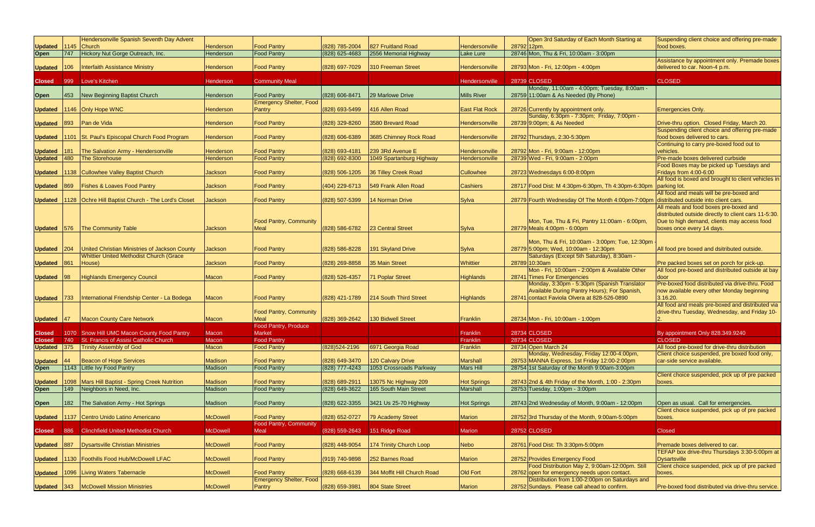|                     |               | Hendersonville Spanish Seventh Day Advent                      |                 |                                                      |                  |                                    |                       | Open 3rd Saturday of Each Month Starting at                                                 | Suspending client choice and offering pre-made                                                  |
|---------------------|---------------|----------------------------------------------------------------|-----------------|------------------------------------------------------|------------------|------------------------------------|-----------------------|---------------------------------------------------------------------------------------------|-------------------------------------------------------------------------------------------------|
| Updated 1145 Church |               |                                                                | Henderson       | <b>Food Pantry</b>                                   | (828) 785-2004   | 827 Fruitland Road                 | Hendersonville        | 2879212pm.                                                                                  | food boxes.                                                                                     |
| <b>Open</b>         | $\vert 747$   | Hickory Nut Gorge Outreach, Inc.                               | Henderson       | <b>Food Pantry</b>                                   | $(828)$ 625-4683 | 2556 Memorial Highway              | Lake Lure             | 28746 Mon, Thu & Fri, 10:00am - 3:00pm                                                      |                                                                                                 |
| <b>Updated</b>      | 106           | <b>Interfaith Assistance Ministry</b>                          | Henderson       | <b>Food Pantry</b>                                   | (828) 697-7029   | 310 Freeman Street                 | Hendersonville        | 28793 Mon - Fri, 12:00pm - 4:00pm                                                           | Assistance by appointment only. Premade boxes<br>delivered to car. Noon-4 p.m.                  |
| <b>Closed</b>       | 999           | Love's Kitchen                                                 | Henderson       | <b>Community Meal</b>                                |                  |                                    | Hendersonville        | 28739 CLOSED                                                                                | <b>CLOSED</b>                                                                                   |
|                     |               |                                                                |                 |                                                      |                  |                                    |                       | Monday, 11:00am - 4:00pm; Tuesday, 8:00am -                                                 |                                                                                                 |
| <b>Open</b>         | <b>453</b>    | New Beginning Baptist Church                                   | Henderson       | <b>Food Pantry</b><br><b>Emergency Shelter, Food</b> | (828) 606-8471   | 29 Marlowe Drive                   | <b>Mills River</b>    | 28759 11:00am & As Needed (By Phone)                                                        |                                                                                                 |
| <b>Updated</b>      |               | 1146 Only Hope WNC                                             | Henderson       | Pantry                                               | (828) 693-5499   | 416 Allen Road                     | <b>East Flat Rock</b> | 28726 Currently by appointment only.                                                        | <b>Emergencies Only</b>                                                                         |
|                     |               | Updated 893 Pan de Vida                                        | Henderson       | <b>Food Pantry</b>                                   | (828) 329-8260   | 3580 Brevard Road                  | Hendersonville        | Sunday, 6:30pm - 7:30pm; Friday, 7:00pm -<br>28739 9:00pm; & As Needed                      | Drive-thru option. Closed Friday, March 20.                                                     |
|                     |               |                                                                |                 |                                                      |                  |                                    |                       |                                                                                             | Suspending client choice and offering pre-made                                                  |
|                     |               | Updated   1101   St. Paul's Episcopal Church Food Program      | Henderson       | <b>Food Pantry</b>                                   | (828) 606-6389   | 3685 Chimney Rock Road             | Hendersonville        | 28792 Thursdays, 2:30-5:30pm                                                                | food boxes delivered to cars.<br>Continuing to carry pre-boxed food out to                      |
| <b>Updated</b>      | 181           | The Salvation Army - Hendersonville                            | Henderson       | <b>Food Pantry</b>                                   | (828) 693-4181   | 239 3Rd Avenue E                   | Hendersonville        | 28792 Mon - Fri, 9:00am - 12:00pm                                                           | vehicles.                                                                                       |
| Updated 480         |               | The Storehouse                                                 | Henderson       | <b>Food Pantry</b>                                   | (828) 692-8300   | 1049 Spartanburg Highway           | Hendersonville        | 28739 Wed - Fri, 9:00am - 2:00pm                                                            | Pre-made boxes delivered curbside                                                               |
|                     |               |                                                                |                 |                                                      |                  |                                    |                       |                                                                                             | Food Boxes may be picked up Tuesdays and                                                        |
|                     |               | Updated   1138   Cullowhee Valley Baptist Church               | Jackson         | <b>Food Pantry</b>                                   | (828) 506-1205   | 36 Tilley Creek Road               | <b>Cullowhee</b>      | 28723 Wednesdays 6:00-8:00pm                                                                | Fridays from 4:00-6:00<br>All food is boxed and brought to client vehicles in                   |
| Updated 869         |               | <b>Fishes &amp; Loaves Food Pantry</b>                         | <b>Jackson</b>  | <b>Food Pantry</b>                                   | (404) 229-6713   | 549 Frank Allen Road               | <b>Cashiers</b>       | 28717 Food Dist: M 4:30pm-6:30pm, Th 4:30pm-6:30pm                                          | parking lot.                                                                                    |
|                     |               | Updated   1128   Ochre Hill Baptist Church - The Lord's Closet | <b>Jackson</b>  | <b>Food Pantry</b>                                   | (828) 507-5399   | 14 Norman Drive                    | Sylva                 | 28779 Fourth Wednesday Of The Month 4:00pm-7:00pm distributed outside into client cars.     | All food and meals will be pre-boxed and                                                        |
|                     |               |                                                                |                 |                                                      |                  |                                    |                       |                                                                                             | All meals and food boxes pre-boxed and                                                          |
|                     |               |                                                                |                 |                                                      |                  |                                    |                       |                                                                                             | distributed outside directly to client cars 11-5:30.                                            |
|                     |               |                                                                |                 | <b>Food Pantry, Community</b>                        |                  |                                    |                       | Mon, Tue, Thu & Fri, Pantry 11:00am - 6:00pm,                                               | Due to high demand, clients may access food                                                     |
|                     |               | Updated 576 The Community Table                                | Jackson         | Meal                                                 | (828) 586-6782   | 23 Central Street                  | Sylva                 | 28779 Meals 4:00pm - 6:00pm                                                                 | boxes once every 14 days.                                                                       |
|                     |               |                                                                |                 |                                                      |                  |                                    |                       | Mon, Thu & Fri, 10:00am - 3:00pm; Tue, 12:30pm                                              |                                                                                                 |
| <b>Updated</b>      | 204           | United Christian Ministries of Jackson County                  | Jackson         | <b>Food Pantry</b>                                   | (828) 586-8228   | 191 Skyland Drive                  | Sylva                 | 28779 5:00pm; Wed, 10:00am - 12:30pm                                                        | All food pre boxed and dsitributed outside.                                                     |
| <b>Updated</b>      | 861           | <b>Whittier United Methodist Church (Grace</b><br>House)       | <b>Jackson</b>  | <b>Food Pantry</b>                                   | (828) 269-8858   | 35 Main Street                     | Whittier              | Saturdays (Except 5th Saturday), 8:30am -<br>28789 10:30am                                  | Pre packed boxes set on porch for pick-up.                                                      |
|                     |               |                                                                |                 |                                                      |                  |                                    |                       | Mon - Fri, 10:00am - 2:00pm & Available Other                                               | All food pre-boxed and distributed outside at bay                                               |
| <b>Updated</b>      | 98            | <b>Highlands Emergency Council</b>                             | Macon           | <b>Food Pantry</b>                                   | (828) 526-4357   | 71 Poplar Street                   | <b>Highlands</b>      | 28741 Times For Emergencies                                                                 | door                                                                                            |
|                     |               |                                                                |                 |                                                      |                  |                                    |                       | Monday, 3:30pm - 5:30pm (Spanish Translator<br>Available During Pantry Hours); For Spanish, | Pre-boxed food distributed via drive-thru. Food<br>now available every other Monday beginning   |
| Updated 733         |               | International Friendship Center - La Bodega                    | Macon           | <b>Food Pantry</b>                                   | (828) 421-1789   | 214 South Third Street             | <b>Highlands</b>      | 28741 contact Faviola Olvera at 828-526-0890                                                | 3.16.20                                                                                         |
|                     |               |                                                                |                 |                                                      |                  |                                    |                       |                                                                                             | All food and meals pre-boxed and distributed via                                                |
|                     | $ 47\rangle$  | <b>Macon County Care Network</b>                               | Macon           | <b>Food Pantry, Community</b><br>Meal                |                  | (828) 369-2642  130 Bidwell Street | Franklin              | 28734 Mon - Fri, 10:00am - 1:00pm                                                           | drive-thru Tuesday, Wednesday, and Friday 10-                                                   |
| <b>Updated</b>      |               |                                                                |                 | <b>Food Pantry, Produce</b>                          |                  |                                    |                       |                                                                                             |                                                                                                 |
| <b>Closed</b>       |               | 1070 Snow Hill UMC Macon County Food Pantry                    | vlacon          | <b>Market</b>                                        |                  |                                    | Franklin              | <b>28734 CLOSED</b>                                                                         | By appointment Only 828.349.9240                                                                |
| <b>Closed</b>       |               | 740 St. Francis of Assisi Catholic Church                      | Macon           | <b>Food Pantry</b>                                   |                  |                                    | Franklin              | 28734 CLOSED                                                                                | <b>CLOSED</b>                                                                                   |
|                     |               | <b>Updated</b> 375 Trinity Assembly of God                     | Macon           | <b>Food Pantry</b>                                   | (828) 524-2196   | 6971 Georgia Road                  | Franklin              | 28734 Open March 24<br>Monday, Wednesday, Friday 12:00-4:00pm,                              | All food pre-boxed for drive-thru distribution<br>Client choice suspended, pre boxed food only, |
| <b>Updated</b>      | 44            | Beacon of Hope Services                                        | Madison         | <b>Food Pantry</b>                                   | (828) 649-3470   | 120 Calvary Drive                  | <b>Marshall</b>       | 28753 MANNA Express, 1st Friday 12:00-2:00pm                                                | car-side service available.                                                                     |
| <b>Open</b>         |               | 1143 Little Ivy Food Pantry                                    | Madison         | <b>Food Pantry</b>                                   | (828) 777-4243   | 1053 Crossroads Parkway            | <b>Mars Hill</b>      | 28754 1st Saturday of the Month 9:00am-3:00pm                                               |                                                                                                 |
|                     |               |                                                                |                 |                                                      |                  |                                    |                       |                                                                                             | Client choice suspended, pick up of pre packed                                                  |
| <b>Updated</b>      |               | 1098 Mars Hill Baptist - Spring Creek Nutrition                | <b>Madison</b>  | <b>Food Pantry</b>                                   | (828) 689-2911   | 13075 Nc Highway 209               | <b>Hot Springs</b>    | 28743 2nd & 4th Friday of the Month, 1:00 - 2:30pm                                          | boxes.                                                                                          |
| <b>Open</b>         | 149           | Neighbors in Need, Inc.                                        | Madison         | <b>Food Pantry</b>                                   | (828) 649-3622   | 165 South Main Street              | <b>Marshall</b>       | 28753 Tuesday, 1:00pm - 3:00pm                                                              |                                                                                                 |
| <b>Open</b>         | $ 182\rangle$ | The Salvation Army - Hot Springs                               | Madison         | <b>Food Pantry</b>                                   | (828) 622-3355   | 3421 Us 25-70 Highway              | <b>Hot Springs</b>    | 28743 2nd Wednesday of Month, 9:00am - 12:00pm                                              | Open as usual. Call for emergencies.                                                            |
|                     |               | Updated 1137 Centro Unido Latino Americano                     | <b>McDowell</b> | <b>Food Pantry</b>                                   | (828) 652-0727   | 79 Academy Street                  | <b>Marion</b>         | 28752 3rd Thursday of the Month, 9:00am-5:00pm                                              | Client choice suspended, pick up of pre packed<br>boxes.                                        |
|                     |               |                                                                |                 | <b>Food Pantry, Community</b>                        |                  |                                    |                       |                                                                                             |                                                                                                 |
| <b>Closed</b>       | 886           | <b>Clinchfield United Methodist Church</b>                     | <b>McDowell</b> | Meal                                                 | (828) 559-2643   | 151 Ridge Road                     | <b>Marion</b>         | <b>28752 CLOSED</b>                                                                         | <b>Closed</b>                                                                                   |
| <b>Updated</b>      | 887           | <b>Dysartsville Christian Ministries</b>                       | <b>McDowell</b> | <b>Food Pantry</b>                                   | (828) 448-9054   | 174 Trinity Church Loop            | Nebo                  | 28761 Food Dist: Th 3:30pm-5:00pm                                                           | Premade boxes delivered to car.                                                                 |
|                     |               |                                                                |                 |                                                      |                  |                                    |                       |                                                                                             | TEFAP box drive-thru Thursdays 3:30-5:00pm at                                                   |
| <b>Updated</b>      |               | 1130 Foothills Food Hub/McDowell LFAC                          | <b>McDowell</b> | <b>Food Pantry</b>                                   | (919) 740-9898   | 252 Barnes Road                    | <b>Marion</b>         | 28752 Provides Emergency Food<br>Food Distribution May 2, 9:00am-12:00pm. Still             | <b>Dysartsville</b><br>Client choice suspended, pick up of pre packed                           |
|                     |               | Updated 1096 Living Waters Tabernacle                          | <b>McDowell</b> | <b>Food Pantry</b>                                   | $(828)$ 668-6139 | 344 Moffit Hill Church Road        | <b>Old Fort</b>       | 28762 open for emergency needs upon contact.                                                | boxes.                                                                                          |
|                     |               |                                                                |                 | <b>Emergency Shelter, Food</b>                       |                  |                                    |                       | Distribution from 1:00-2:00pm on Saturdays and                                              |                                                                                                 |
| Updated 343         |               | <b>McDowell Mission Ministries</b>                             | <b>McDowell</b> | Pantry                                               | (828) 659-3981   | 804 State Street                   | <b>Marion</b>         | 28752 Sundays. Please call ahead to confirm.                                                | Pre-boxed food distributed via drive-thru service.                                              |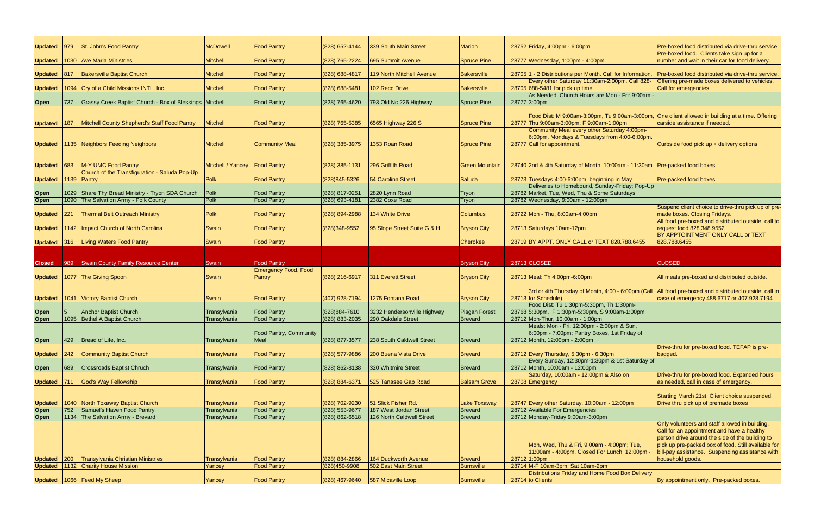| <b>Updated</b> | 979           | St. John's Food Pantry                                          | <b>McDowell</b>                 | <b>Food Pantry</b>                       | (828) 652-4144                   | 339 South Main Street                               | <b>Marion</b>             | 28752 Friday, 4:00pm - 6:00pm                                                                                                                | Pre-boxed food distributed via drive-thru service.                                            |
|----------------|---------------|-----------------------------------------------------------------|---------------------------------|------------------------------------------|----------------------------------|-----------------------------------------------------|---------------------------|----------------------------------------------------------------------------------------------------------------------------------------------|-----------------------------------------------------------------------------------------------|
| <b>Updated</b> |               | 1030 Ave Maria Ministries                                       | <b>Mitchell</b>                 | <b>Food Pantry</b>                       | (828) 765-2224                   | 695 Summit Avenue                                   | Spruce Pine               | 28777 Wednesday, 1:00pm - 4:00pm                                                                                                             | Pre-boxed food. Clients take sign up for a<br>number and wait in their car for food delivery. |
|                |               |                                                                 |                                 |                                          |                                  |                                                     |                           |                                                                                                                                              |                                                                                               |
| <b>Updated</b> | $ 817\rangle$ | <b>Bakersville Baptist Church</b>                               | <b>Mitchell</b>                 | <b>Food Pantry</b>                       | (828) 688-4817                   | 119 North Mitchell Avenue                           | <b>Bakersville</b>        | 28705 1 - 2 Distributions per Month. Call for Information.<br>Every other Saturday 11:30am-2:00pm. Call 828-                                 | Pre-boxed food distributed via drive-thru service.                                            |
| <b>Updated</b> |               | 1094 Cry of a Child Missions INTL, Inc.                         | <b>Mitchell</b>                 | <b>Food Pantry</b>                       | (828) 688-5481                   | 102 Recc Drive                                      | <b>Bakersville</b>        | 28705 688-5481 for pick up time.                                                                                                             | Offering pre-made boxes delivered to vehicles.<br>Call for emergencies.                       |
| <b>Open</b>    | 737           | Grassy Creek Baptist Church - Box of Blessings   Mitchell       |                                 | <b>Food Pantry</b>                       | (828) 765-4620                   | 793 Old Nc 226 Highway                              | Spruce Pine               | As Needed. Church Hours are Mon - Fri: 9:00am<br>287773:00pm                                                                                 |                                                                                               |
|                |               |                                                                 |                                 |                                          |                                  |                                                     |                           |                                                                                                                                              |                                                                                               |
| Updated 187    |               | Mitchell County Shepherd's Staff Food Pantry                    | <b>Mitchell</b>                 | <b>Food Pantry</b>                       | (828) 765-5385                   | 6565 Highway 226 S                                  | Spruce Pine               | Food Dist: M 9:00am-3:00pm, Tu 9:00am-3:00pm, One client allowed in building at a time. Offering<br>28777 Thu 9:00am-3:00pm, F 9:00am-1:00pm | carside assistance if needed.                                                                 |
|                |               |                                                                 |                                 |                                          |                                  |                                                     |                           | Community Meal every other Saturday 4:00pm-                                                                                                  |                                                                                               |
|                |               | Updated   1135 Neighbors Feeding Neighbors                      | <b>Mitchell</b>                 | <b>Community Meal</b>                    | (828) 385-3975                   | 1353 Roan Road                                      | Spruce Pine               | 6:00pm. Mondays & Tuesdays from 4:00-6:00pm.<br>28777 Call for appointment.                                                                  | Curbside food pick up + delivery options                                                      |
|                |               |                                                                 |                                 |                                          |                                  |                                                     |                           |                                                                                                                                              |                                                                                               |
| Updated 683    |               | M-Y UMC Food Pantry                                             | Mitchell / Yancey   Food Pantry |                                          | $(828)$ 385-1131                 | 296 Griffith Road                                   | <b>Green Mountain</b>     | 28740 2nd & 4th Saturday of Month, 10:00am - 11:30am Pre-packed food boxes                                                                   |                                                                                               |
|                |               | Church of the Transfiguration - Saluda Pop-Up                   |                                 |                                          |                                  |                                                     |                           |                                                                                                                                              |                                                                                               |
| Updated 1139   |               | Pantry                                                          | Polk                            | <b>Food Pantry</b>                       | (828) 845-5326                   | 54 Carolina Street                                  | Saluda                    | 28773 Tuesdays 4:00-6:00pm, beginning in May<br>Deliveries to Homebound, Sunday-Friday; Pop-Up                                               | Pre-packed food boxes                                                                         |
| <b>Open</b>    | 1029          | Share Thy Bread Ministry - Tryon SDA Church                     | Polk                            | <b>Food Pantry</b>                       | (828) 817-0251                   | 2820 Lynn Road                                      | Tryon                     | 28782 Market, Tue, Wed, Thu & Some Saturdays                                                                                                 |                                                                                               |
| Open           | 1090          | The Salvation Army - Polk County                                | Polk                            | <b>Food Pantry</b>                       | (828) 693-4181                   | 2382 Coxe Road                                      | Tryon                     | 28782 Wednesday, 9:00am - 12:00pm                                                                                                            |                                                                                               |
|                |               |                                                                 | Polk                            |                                          |                                  |                                                     |                           |                                                                                                                                              | Suspend client choice to drive-thru pick up of pre-                                           |
| <b>Updated</b> | 221           | <b>Thermal Belt Outreach Ministry</b>                           |                                 | <b>Food Pantry</b>                       | (828) 894-2988                   | 134 White Drive                                     | <b>Columbus</b>           | 28722 Mon - Thu, 8:00am-4:00pm                                                                                                               | made boxes. Closing Fridays.<br>All food pre-boxed and distributed outside, call to           |
| <b>Updated</b> |               | 1142   Impact Church of North Carolina                          | Swain                           | <b>Food Pantry</b>                       | (828) 348-9552                   | 95 Slope Street Suite G & H                         | <b>Bryson City</b>        | 28713 Saturdays 10am-12pm                                                                                                                    | request food 828.348.9552                                                                     |
|                |               |                                                                 |                                 |                                          |                                  |                                                     | <b>Cherokee</b>           |                                                                                                                                              | BY APPTOINTMENT ONLY CALL or TEXT<br>828.788.6455                                             |
|                |               | Updated 316 Living Waters Food Pantry                           | Swain                           | <b>Food Pantry</b>                       |                                  |                                                     |                           | 28719 BY APPT. ONLY CALL or TEXT 828.788.6455                                                                                                |                                                                                               |
|                |               |                                                                 |                                 |                                          |                                  |                                                     |                           |                                                                                                                                              |                                                                                               |
| <b>Closed</b>  |               | 989 Swain County Family Resource Center                         | Swain                           | <b>Food Pantry</b>                       |                                  |                                                     | <b>Bryson City</b>        | 28713 CLOSED                                                                                                                                 | <b>CLOSED</b>                                                                                 |
|                |               | <b>Updated</b> 1077 The Giving Spoon                            | Swain                           | <b>Emergency Food, Food</b><br>Pantry    | (828) 216-6917                   | 311 Everett Street                                  | <b>Bryson City</b>        | 28713 Meal: Th 4:00pm-6:00pm                                                                                                                 | All meals pre-boxed and distributed outside.                                                  |
|                |               |                                                                 |                                 |                                          |                                  |                                                     |                           |                                                                                                                                              |                                                                                               |
|                |               |                                                                 |                                 |                                          |                                  |                                                     |                           | 3rd or 4th Thursday of Month, 4:00 - 6:00pm (Call   All food pre-boxed and distributed outside, call in                                      |                                                                                               |
| <b>Updated</b> |               | 1041 Victory Baptist Church                                     | Swain                           | <b>Food Pantry</b>                       | (407) 928-7194                   | 1275 Fontana Road                                   | <b>Bryson City</b>        | 28713 for Schedule)<br>Food Dist: Tu 1:30pm-5:30pm, Th 1:30pm-                                                                               | case of emergency 488.6717 or 407.928.7194                                                    |
| <b>Open</b>    |               | <b>Anchor Baptist Church</b>                                    | Transylvania                    | <b>Food Pantry</b>                       | (828) 884-7610                   | 3232 Hendersonville Highway                         | <b>Pisgah Forest</b>      | 28768 5:30pm, F 1:30pm-5:30pm, S 9:00am-1:00pm                                                                                               |                                                                                               |
| <b>Open</b>    | 1095          | <b>Bethel A Baptist Church</b>                                  | Transylvania                    | <b>Food Pantry</b>                       | (828) 883-2035                   |                                                     |                           |                                                                                                                                              |                                                                                               |
|                |               |                                                                 |                                 |                                          |                                  | 290 Oakdale Street                                  | <b>Brevard</b>            | 28712 Mon-Thur, 10:00am - 1:00pm                                                                                                             |                                                                                               |
|                |               |                                                                 |                                 |                                          |                                  |                                                     |                           | Meals: Mon - Fri, 12:00pm - 2:00pm & Sun,                                                                                                    |                                                                                               |
|                |               |                                                                 |                                 | Food Pantry, Community                   |                                  |                                                     |                           | 6:00pm - 7:00pm; Pantry Boxes, 1st Friday of                                                                                                 |                                                                                               |
| Open           | 429           | Bread of Life, Inc.                                             | Transylvania                    | Meal                                     | (828) 877-3577                   | 238 South Caldwell Street                           | Brevard                   | 28712 Month, 12:00pm - 2:00pm                                                                                                                |                                                                                               |
|                |               | Community Baptist Church                                        | Transylvania                    | <b>Food Pantry</b>                       | (828) 577-9886                   | 200 Buena Vista Drive                               | <b>Brevard</b>            | 28712 Every Thursday, 5:30pm - 6:30pm                                                                                                        | Drive-thru for pre-boxed food. TEFAP is pre-<br>bagged.                                       |
| Updated 242    |               |                                                                 |                                 |                                          |                                  |                                                     |                           | Every Sunday, 12:30pm-1:30pm & 1st Saturday of                                                                                               |                                                                                               |
| <b>Open</b>    | 689           | <b>Crossroads Baptist Chruch</b>                                | Transylvania                    | <b>Food Pantry</b>                       | (828) 862-8138                   | 320 Whitmire Street                                 | Brevard                   | 28712 Month, 10:00am - 12:00pm                                                                                                               |                                                                                               |
|                |               | God's Way Fellowship                                            | Transylvania                    | <b>Food Pantry</b>                       | (828) 884-6371                   | 525 Tanasee Gap Road                                | <b>Balsam Grove</b>       | Saturday, 10:00am - 12:00pm & Also on<br>28708 Emergency                                                                                     | Drive-thru for pre-boxed food. Expanded hours<br>as needed, call in case of emergency.        |
| Updated 711    |               |                                                                 |                                 |                                          |                                  |                                                     |                           |                                                                                                                                              |                                                                                               |
|                |               |                                                                 |                                 |                                          |                                  |                                                     |                           |                                                                                                                                              | Starting March 21st, Client choice suspended.                                                 |
| <b>Updated</b> |               | 1040 North Toxaway Baptist Church                               | Transylvania                    | <b>Food Pantry</b>                       | (828) 702-9230                   | 51 Slick Fisher Rd.                                 | <b>Lake Toxaway</b>       | 28747 Every other Saturday, 10:00am - 12:00pm                                                                                                | Drive thru pick up of premade boxes                                                           |
| Open           | 752           | Samuel's Haven Food Pantry<br>1134 The Salvation Army - Brevard | Transylvania<br>Transylvania    | <b>Food Pantry</b><br><b>Food Pantry</b> | (828) 553-9677<br>(828) 862-6518 | 187 West Jordan Street<br>126 North Caldwell Street | <b>Brevard</b><br>Brevard | 28712 Available For Emergencies<br>28712 Monday-Friday 9:00am-3:00pm                                                                         |                                                                                               |
| <b>Open</b>    |               |                                                                 |                                 |                                          |                                  |                                                     |                           |                                                                                                                                              | Only volunteers and staff allowed in building.                                                |
|                |               |                                                                 |                                 |                                          |                                  |                                                     |                           |                                                                                                                                              | Call for an appointment and have a healthy                                                    |
|                |               |                                                                 |                                 |                                          |                                  |                                                     |                           |                                                                                                                                              | person drive around the side of the building to                                               |
|                |               |                                                                 |                                 |                                          |                                  |                                                     |                           | Mon, Wed, Thu & Fri, 9:00am - 4:00pm; Tue,                                                                                                   | pick up pre-packed box of food. Still available for                                           |
| Updated 200    |               | <b>Transylvania Christian Ministries</b>                        | Transylvania                    | <b>Food Pantry</b>                       | (828) 884-2866                   | 164 Duckworth Avenue                                | Brevard                   | 11:00am - 4:00pm, Closed For Lunch, 12:00pm<br>28712 1:00pm                                                                                  | bill-pay assistance. Suspending assistance with<br>household goods.                           |
| Updated 1132   |               | <b>Charity House Mission</b>                                    | Yancey                          | <b>Food Pantry</b>                       | (828)450-9908                    | 502 East Main Street                                | <b>Burnsville</b>         | 28714 M-F 10am-3pm, Sat 10am-2pm                                                                                                             |                                                                                               |
|                |               | Updated 1066 Feed My Sheep                                      | Yancey                          | <b>Food Pantry</b>                       | (828) 467-9640                   | 587 Micaville Loop                                  | Burnsville                | <b>Distributions Friday and Home Food Box Delivery</b><br>28714 to Clients                                                                   | By appointment only. Pre-packed boxes.                                                        |